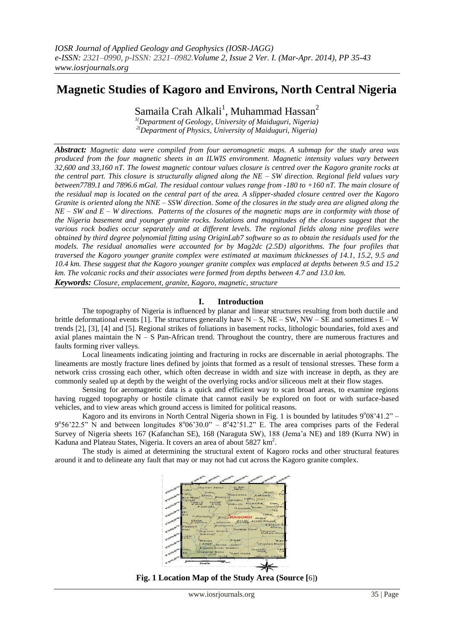# **Magnetic Studies of Kagoro and Environs, North Central Nigeria**

Samaila Crah Alkali $^1$ , Muhammad Hassan $^2$ 

*1(Department of Geology, University of Maiduguri, Nigeria) 2(Department of Physics, University of Maiduguri, Nigeria)*

*Abstract: Magnetic data were compiled from four aeromagnetic maps. A submap for the study area was produced from the four magnetic sheets in an ILWIS environment. Magnetic intensity values vary between 32,600 and 33,160 nT. The lowest magnetic contour values closure is centred over the Kagoro granite rocks at the central part. This closure is structurally aligned along the NE – SW direction. Regional field values vary between7789.1 and 7896.6 mGal. The residual contour values range from -180 to +160 nT. The main closure of the residual map is located on the central part of the area. A slipper-shaded closure centred over the Kagoro Granite is oriented along the NNE – SSW direction. Some of the closures in the study area are aligned along the NE – SW and E – W directions. Patterns of the closures of the magnetic maps are in conformity with those of the Nigeria basement and younger granite rocks. Isolations and magnitudes of the closures suggest that the various rock bodies occur separately and at different levels. The regional fields along nine profiles were obtained by third degree polynomial fitting using OriginLab7 software so as to obtain the residuals used for the models. The residual anomalies were accounted for by Mag2dc (2.5D) algorithms. The four profiles that traversed the Kagoro younger granite complex were estimated at maximum thicknesses of 14.1, 15.2, 9.5 and 10.4 km. These suggest that the Kagoro younger granite complex was emplaced at depths between 9.5 and 15.2 km. The volcanic rocks and their associates were formed from depths between 4.7 and 13.0 km. Keywords: Closure, emplacement, granite, Kagoro, magnetic, structure*

**I. Introduction**

The topography of Nigeria is influenced by planar and linear structures resulting from both ductile and brittle deformational events [1]. The structures generally have  $N - S$ ,  $NE - SW$ ,  $NW - SE$  and sometimes  $E - W$ trends [2], [3], [4] and [5]. Regional strikes of foliations in basement rocks, lithologic boundaries, fold axes and axial planes maintain the  $N - S$  Pan-African trend. Throughout the country, there are numerous fractures and faults forming river valleys.

Local lineaments indicating jointing and fracturing in rocks are discernable in aerial photographs. The lineaments are mostly fracture lines defined by joints that formed as a result of tensional stresses. These form a network criss crossing each other, which often decrease in width and size with increase in depth, as they are commonly sealed up at depth by the weight of the overlying rocks and/or siliceous melt at their flow stages.

Sensing for aeromagnetic data is a quick and efficient way to scan broad areas, to examine regions having rugged topography or hostile climate that cannot easily be explored on foot or with surface-based vehicles, and to view areas which ground access is limited for political reasons.

Kagoro and its environs in North Central Nigeria shown in Fig. 1 is bounded by latitudes 9°08'41.2" - $9^{\circ}56'22.5''$  N and between longitudes  $8^{\circ}06'30.0'' - 8^{\circ}42'51.2''$  E. The area comprises parts of the Federal Survey of Nigeria sheets 167 (Kafanchan SE), 168 (Naraguta SW), 188 (Jema'a NE) and 189 (Kurra NW) in Kaduna and Plateau States, Nigeria. It covers an area of about 5827 km<sup>2</sup>.

The study is aimed at determining the structural extent of Kagoro rocks and other structural features around it and to delineate any fault that may or may not had cut across the Kagoro granite complex.



**Fig. 1 Location Map of the Study Area (Source [**6]**)**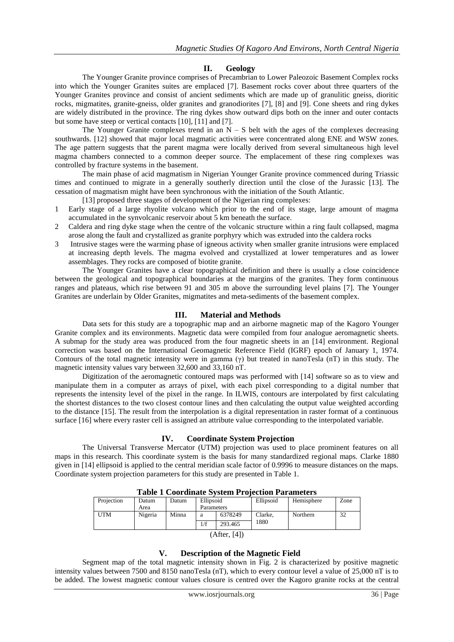### **II. Geology**

The Younger Granite province comprises of Precambrian to Lower Paleozoic Basement Complex rocks into which the Younger Granites suites are emplaced [7]. Basement rocks cover about three quarters of the Younger Granites province and consist of ancient sediments which are made up of granulitic gneiss, dioritic rocks, migmatites, granite-gneiss, older granites and granodiorites [7], [8] and [9]. Cone sheets and ring dykes are widely distributed in the province. The ring dykes show outward dips both on the inner and outer contacts but some have steep or vertical contacts [10], [11] and [7].

The Younger Granite complexes trend in an  $N - S$  belt with the ages of the complexes decreasing southwards. [12] showed that major local magmatic activities were concentrated along ENE and WSW zones. The age pattern suggests that the parent magma were locally derived from several simultaneous high level magma chambers connected to a common deeper source. The emplacement of these ring complexes was controlled by fracture systems in the basement.

The main phase of acid magmatism in Nigerian Younger Granite province commenced during Triassic times and continued to migrate in a generally southerly direction until the close of the Jurassic [13]. The cessation of magmatism might have been synchronous with the initiation of the South Atlantic.

[13] proposed three stages of development of the Nigerian ring complexes:

- 1 Early stage of a large rhyolite volcano which prior to the end of its stage, large amount of magma accumulated in the synvolcanic reservoir about 5 km beneath the surface.
- 2 Caldera and ring dyke stage when the centre of the volcanic structure within a ring fault collapsed, magma arose along the fault and crystallized as granite porphyry which was extruded into the caldera rocks
- 3 Intrusive stages were the warming phase of igneous activity when smaller granite intrusions were emplaced at increasing depth levels. The magma evolved and crystallized at lower temperatures and as lower assemblages. They rocks are composed of biotite granite.

The Younger Granites have a clear topographical definition and there is usually a close coincidence between the geological and topographical boundaries at the margins of the granites. They form continuous ranges and plateaus, which rise between 91 and 305 m above the surrounding level plains [7]. The Younger Granites are underlain by Older Granites, migmatites and meta-sediments of the basement complex.

#### **III. Material and Methods**

Data sets for this study are a topographic map and an airborne magnetic map of the Kagoro Younger Granite complex and its environments. Magnetic data were compiled from four analogue aeromagnetic sheets. A submap for the study area was produced from the four magnetic sheets in an [14] environment. Regional correction was based on the International Geomagnetic Reference Field (IGRF) epoch of January 1, 1974. Contours of the total magnetic intensity were in gamma (γ) but treated in nanoTesla (nT) in this study. The magnetic intensity values vary between 32,600 and 33,160 nT.

Digitization of the aeromagnetic contoured maps was performed with [14] software so as to view and manipulate them in a computer as arrays of pixel, with each pixel corresponding to a digital number that represents the intensity level of the pixel in the range. In ILWIS, contours are interpolated by first calculating the shortest distances to the two closest contour lines and then calculating the output value weighted according to the distance [15]. The result from the interpolation is a digital representation in raster format of a continuous surface [16] where every raster cell is assigned an attribute value corresponding to the interpolated variable.

#### **IV. Coordinate System Projection**

The Universal Transverse Mercator (UTM) projection was used to place prominent features on all maps in this research. This coordinate system is the basis for many standardized regional maps. Clarke 1880 given in [14] ellipsoid is applied to the central meridian scale factor of 0.9996 to measure distances on the maps. Coordinate system projection parameters for this study are presented in Table 1.

| Table T Coolumate Bystem T Tolection T al ameters |         |       |            |         |           |            |      |  |  |
|---------------------------------------------------|---------|-------|------------|---------|-----------|------------|------|--|--|
| Projection                                        | Datum   | Datum | Ellipsoid  |         | Ellipsoid | Hemisphere | Zone |  |  |
|                                                   | Area    |       | Parameters |         |           |            |      |  |  |
| <b>UTM</b>                                        | Nigeria | Minna | a          | 6378249 | Clarke.   | Northern   | 32   |  |  |
|                                                   |         |       | 1/f        | 293.465 | 1880      |            |      |  |  |
| (After, [4])                                      |         |       |            |         |           |            |      |  |  |

**Table 1 Coordinate System Projection Parameters**

## **V. Description of the Magnetic Field**

Segment map of the total magnetic intensity shown in Fig. 2 is characterized by positive magnetic intensity values between 7500 and 8150 nanoTesla (nT), which to every contour level a value of 25,000 nT is to be added. The lowest magnetic contour values closure is centred over the Kagoro granite rocks at the central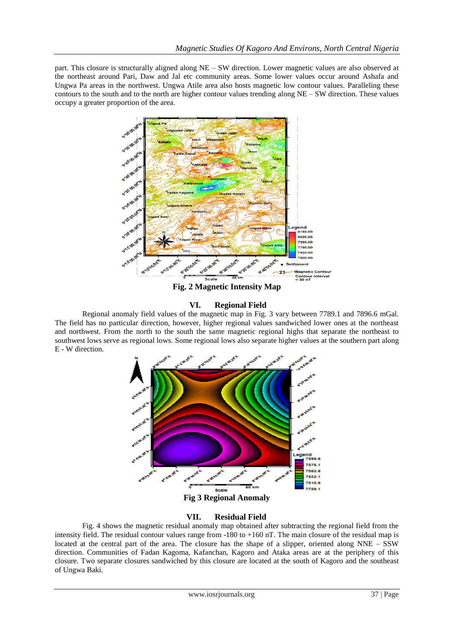part. This closure is structurally aligned along NE – SW direction. Lower magnetic values are also observed at the northeast around Pari, Daw and Jal etc community areas. Some lower values occur around Ashafa and Ungwa Pa areas in the northwest. Ungwa Atile area also hosts magnetic low contour values. Paralleling these contours to the south and to the north are higher contour values trending along NE – SW direction. These values occupy a greater proportion of the area.



**Fig. 2 Magnetic Intensity Map**

#### **VI. Regional Field**

Regional anomaly field values of the magnetic map in Fig. 3 vary between 7789.1 and 7896.6 mGal. The field has no particular direction, however, higher regional values sandwiched lower ones at the northeast and northwest. From the north to the south the same magnetic regional highs that separate the northeast to southwest lows serve as regional lows. Some regional lows also separate higher values at the southern part along E - W direction.



#### **VII. Residual Field**

Fig. 4 shows the magnetic residual anomaly map obtained after subtracting the regional field from the intensity field. The residual contour values range from -180 to +160 nT. The main closure of the residual map is located at the central part of the area. The closure has the shape of a slipper, oriented along NNE – SSW direction. Communities of Fadan Kagoma, Kafanchan, Kagoro and Ataka areas are at the periphery of this closure. Two separate closures sandwiched by this closure are located at the south of Kagoro and the southeast of Ungwa Baki.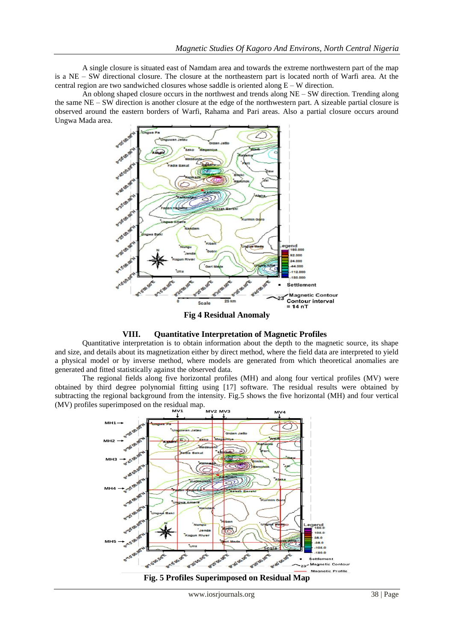A single closure is situated east of Namdam area and towards the extreme northwestern part of the map is a NE – SW directional closure. The closure at the northeastern part is located north of Warfi area. At the central region are two sandwiched closures whose saddle is oriented along  $E - W$  direction.

An oblong shaped closure occurs in the northwest and trends along NE – SW direction. Trending along the same NE – SW direction is another closure at the edge of the northwestern part. A sizeable partial closure is observed around the eastern borders of Warfi, Rahama and Pari areas. Also a partial closure occurs around Ungwa Mada area.



**Fig 4 Residual Anomaly**



Quantitative interpretation is to obtain information about the depth to the magnetic source, its shape and size, and details about its magnetization either by direct method, where the field data are interpreted to yield a physical model or by inverse method, where models are generated from which theoretical anomalies are generated and fitted statistically against the observed data.

The regional fields along five horizontal profiles (MH) and along four vertical profiles (MV) were obtained by third degree polynomial fitting using [17] software. The residual results were obtained by subtracting the regional background from the intensity. Fig.5 shows the five horizontal (MH) and four vertical (MV) profiles superimposed on the residual map.



**Fig. 5 Profiles Superimposed on Residual Map**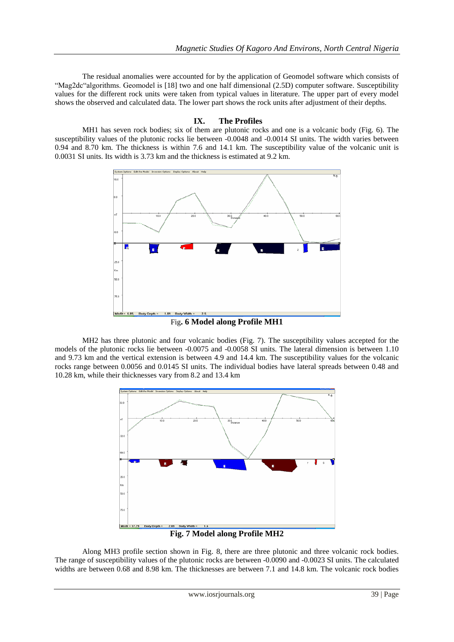The residual anomalies were accounted for by the application of Geomodel software which consists of "Mag2dc"algorithms. Geomodel is [18] two and one half dimensional (2.5D) computer software. Susceptibility values for the different rock units were taken from typical values in literature. The upper part of every model shows the observed and calculated data. The lower part shows the rock units after adjustment of their depths.

#### **IX. The Profiles**

MH1 has seven rock bodies; six of them are plutonic rocks and one is a volcanic body (Fig. 6). The susceptibility values of the plutonic rocks lie between -0.0048 and -0.0014 SI units. The width varies between 0.94 and 8.70 km. The thickness is within 7.6 and 14.1 km. The susceptibility value of the volcanic unit is 0.0031 SI units. Its width is 3.73 km and the thickness is estimated at 9.2 km.



Fig**. 6 Model along Profile MH1**

MH2 has three plutonic and four volcanic bodies (Fig. 7). The susceptibility values accepted for the models of the plutonic rocks lie between -0.0075 and -0.0058 SI units. The lateral dimension is between 1.10 and 9.73 km and the vertical extension is between 4.9 and 14.4 km. The susceptibility values for the volcanic rocks range between 0.0056 and 0.0145 SI units. The individual bodies have lateral spreads between 0.48 and 10.28 km, while their thicknesses vary from 8.2 and 13.4 km



**Fig. 7 Model along Profile MH2**

Along MH3 profile section shown in Fig. 8, there are three plutonic and three volcanic rock bodies. The range of susceptibility values of the plutonic rocks are between -0.0090 and -0.0023 SI units. The calculated widths are between 0.68 and 8.98 km. The thicknesses are between 7.1 and 14.8 km. The volcanic rock bodies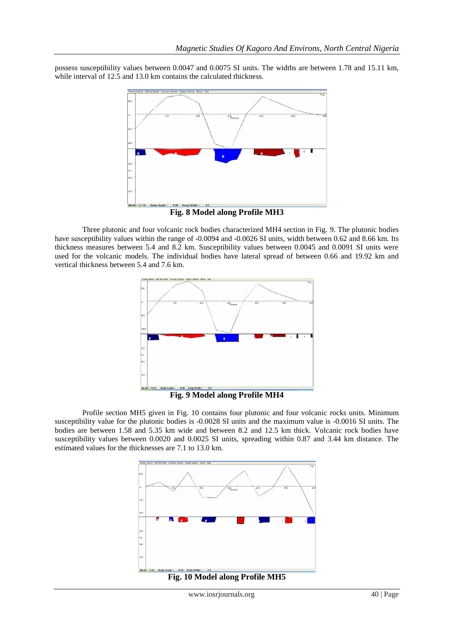possess susceptibility values between 0.0047 and 0.0075 SI units. The widths are between 1.78 and 15.11 km, while interval of 12.5 and 13.0 km contains the calculated thickness.



**Fig. 8 Model along Profile MH3**

Three plutonic and four volcanic rock bodies characterized MH4 section in Fig. 9. The plutonic bodies have susceptibility values within the range of -0.0094 and -0.0026 SI units, width between 0.62 and 8.66 km. Its thickness measures between 5.4 and 8.2 km. Susceptibility values between 0.0045 and 0.0091 SI units were used for the volcanic models. The individual bodies have lateral spread of between 0.66 and 19.92 km and vertical thickness between 5.4 and 7.6 km.



**Fig. 9 Model along Profile MH4**

Profile section MH5 given in Fig. 10 contains four plutonic and four volcanic rocks units. Minimum susceptibility value for the plutonic bodies is -0.0028 SI units and the maximum value is -0.0016 SI units. The bodies are between 1.58 and 5.35 km wide and between 8.2 and 12.5 km thick. Volcanic rock bodies have susceptibility values between 0.0020 and 0.0025 SI units, spreading within 0.87 and 3.44 km distance. The estimated values for the thicknesses are 7.1 to 13.0 km.

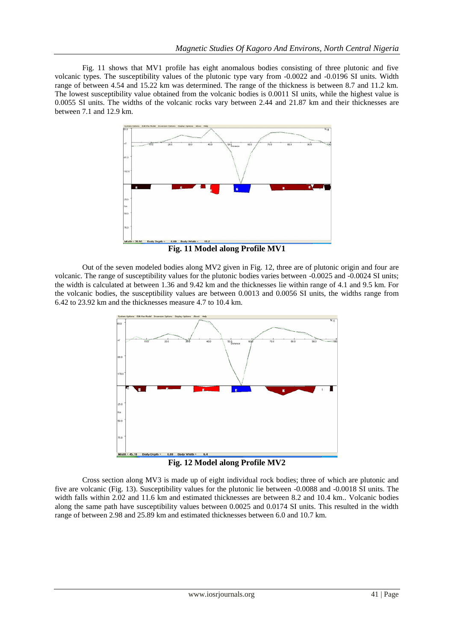Fig. 11 shows that MV1 profile has eight anomalous bodies consisting of three plutonic and five volcanic types. The susceptibility values of the plutonic type vary from -0.0022 and -0.0196 SI units. Width range of between 4.54 and 15.22 km was determined. The range of the thickness is between 8.7 and 11.2 km. The lowest susceptibility value obtained from the volcanic bodies is 0.0011 SI units, while the highest value is 0.0055 SI units. The widths of the volcanic rocks vary between 2.44 and 21.87 km and their thicknesses are between 7.1 and 12.9 km.



**Fig. 11 Model along Profile MV1**

Out of the seven modeled bodies along MV2 given in Fig. 12, three are of plutonic origin and four are volcanic. The range of susceptibility values for the plutonic bodies varies between -0.0025 and -0.0024 SI units; the width is calculated at between 1.36 and 9.42 km and the thicknesses lie within range of 4.1 and 9.5 km. For the volcanic bodies, the susceptibility values are between 0.0013 and 0.0056 SI units, the widths range from 6.42 to 23.92 km and the thicknesses measure 4.7 to 10.4 km.



**Fig. 12 Model along Profile MV2**

Cross section along MV3 is made up of eight individual rock bodies; three of which are plutonic and five are volcanic (Fig. 13). Susceptibility values for the plutonic lie between -0.0088 and -0.0018 SI units. The width falls within 2.02 and 11.6 km and estimated thicknesses are between 8.2 and 10.4 km.. Volcanic bodies along the same path have susceptibility values between 0.0025 and 0.0174 SI units. This resulted in the width range of between 2.98 and 25.89 km and estimated thicknesses between 6.0 and 10.7 km.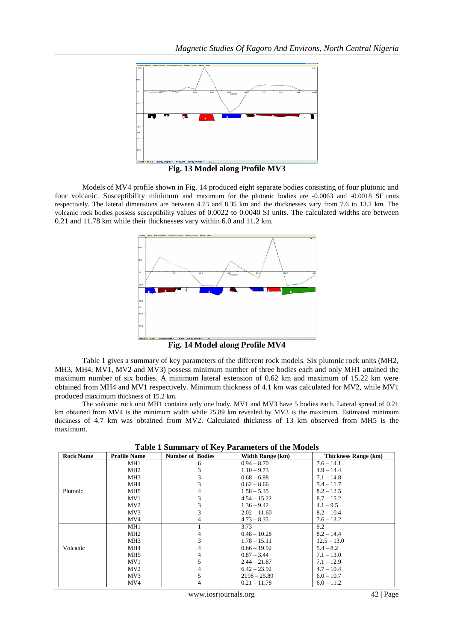

**Fig. 13 Model along Profile MV3**

Models of MV4 profile shown in Fig. 14 produced eight separate bodies consisting of four plutonic and four volcanic. Susceptibility minimum and maximum for the plutonic bodies are -0.0063 and -0.0018 SI units respectively. The lateral dimensions are between 4.73 and 8.35 km and the thicknesses vary from 7.6 to 13.2 km. The volcanic rock bodies possess susceptibility values of 0.0022 to 0.0040 SI units. The calculated widths are between 0.21 and 11.78 km while their thicknesses vary within 6.0 and 11.2 km.



**Fig. 14 Model along Profile MV4**

Table 1 gives a summary of key parameters of the different rock models. Six plutonic rock units (MH2, MH3, MH4, MV1, MV2 and MV3) possess minimum number of three bodies each and only MH1 attained the maximum number of six bodies. A minimum lateral extension of 0.62 km and maximum of 15.22 km were obtained from MH4 and MV1 respectively. Minimum thickness of 4.1 km was calculated for MV2, while MV1 produced maximum thickness of 15.2 km.

The volcanic rock unit MH1 contains only one body. MV1 and MV3 have 5 bodies each. Lateral spread of 0.21 km obtained from MV4 is the minimum width while 25.89 km revealed by MV3 is the maximum. Estimated minimum thickness of 4.7 km was obtained from MV2. Calculated thickness of 13 km observed from MH5 is the maximum.

| <b>Rock Name</b> | <b>Profile Name</b> | <b>Number of Bodies</b> | <b>Width Range (km)</b> | <b>Thickness Range (km)</b> |
|------------------|---------------------|-------------------------|-------------------------|-----------------------------|
|                  | MH1                 | 6                       | $0.94 - 8.70$           | $7.6 - 14.1$                |
|                  | MH <sub>2</sub>     |                         | $1.10 - 9.73$           | $4.9 - 14.4$                |
|                  | MH <sub>3</sub>     |                         | $0.68 - 6.98$           | $7.1 - 14.8$                |
|                  | MH4                 |                         | $0.62 - 8.66$           | $5.4 - 11.7$                |
| Plutonic         | MH <sub>5</sub>     |                         | $1.58 - 5.35$           | $8.2 - 12.5$                |
|                  | MV1                 |                         | $4.54 - 15.22$          | $8.7 - 15.2$                |
|                  | MV2                 |                         | $1.36 - 9.42$           | $4.1 - 9.5$                 |
|                  | MV3                 |                         | $2.02 - 11.60$          | $8.2 - 10.4$                |
|                  | MV4                 |                         | $4.73 - 8.35$           | $7.6 - 13.2$                |
|                  | MH1                 |                         | 3.73                    | 9.2                         |
|                  | MH <sub>2</sub>     |                         | $0.48 - 10.28$          | $8.2 - 14.4$                |
|                  | MH <sub>3</sub>     |                         | $1.78 - 15.11$          | $12.5 - 13.0$               |
| Volcanic         | MH4                 |                         | $0.66 - 19.92$          | $5.4 - 8.2$                 |
|                  | MH <sub>5</sub>     |                         | $0.87 - 3.44$           | $7.1 - 13.0$                |
|                  | MV1                 |                         | $2.44 - 21.87$          | $7.1 - 12.9$                |
|                  | MV2                 |                         | $6.42 - 23.92$          | $4.7 - 10.4$                |
|                  | MV3                 |                         | $21.98 - 25.89$         | $6.0 - 10.7$                |
|                  | MV4                 |                         | $0.21 - 11.78$          | $6.0 - 11.2$                |

**Table 1 Summary of Key Parameters of the Models**